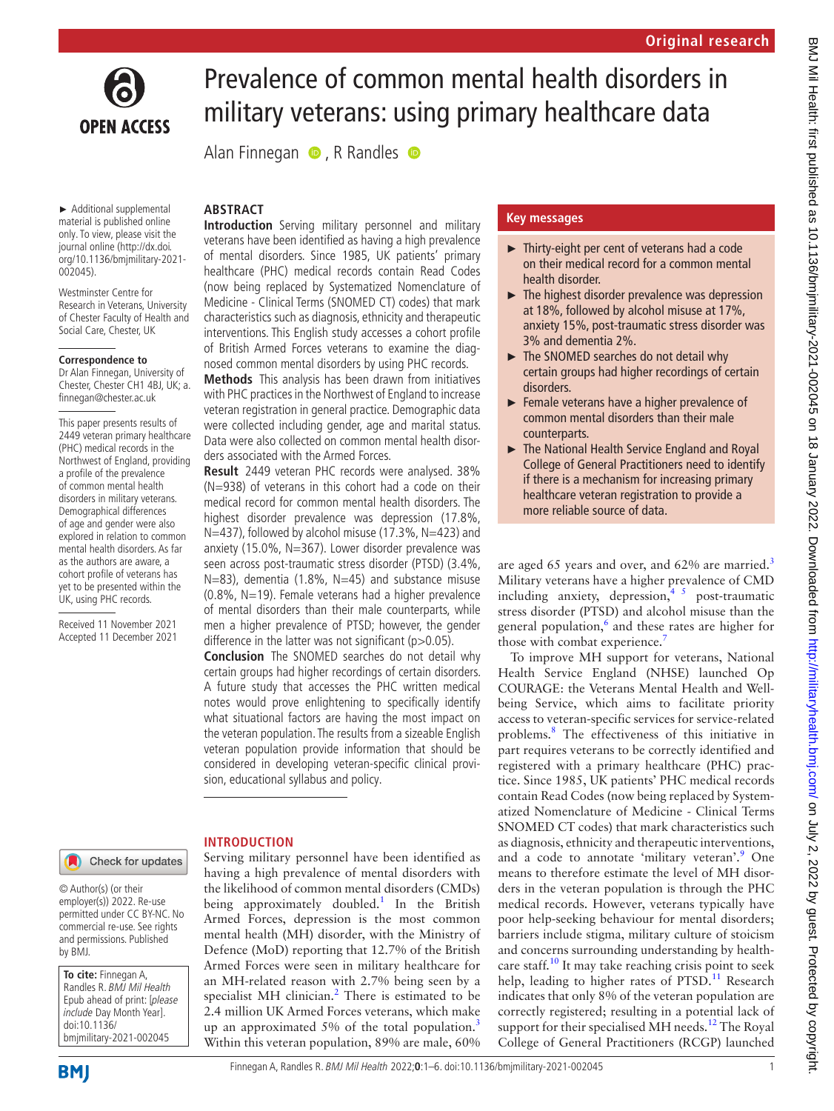

# Prevalence of common mental health disorders in military veterans: using primary healthcare data

Alan Finnegan  $\bullet$ , R Randles  $\bullet$ 

**ABSTRACT**

► Additional supplemental material is published online only. To view, please visit the journal online ([http://dx.doi.](http://dx.doi.org/10.1136/bmjmilitary-2021-002045) [org/10.1136/bmjmilitary-2021-](http://dx.doi.org/10.1136/bmjmilitary-2021-002045) [002045](http://dx.doi.org/10.1136/bmjmilitary-2021-002045)).

Westminster Centre for Research in Veterans, University of Chester Faculty of Health and Social Care, Chester, UK

#### **Correspondence to**

Dr Alan Finnegan, University of Chester, Chester CH1 4BJ, UK; a. finnegan@chester.ac.uk

This paper presents results of 2449 veteran primary healthcare (PHC) medical records in the Northwest of England, providing a profile of the prevalence of common mental health disorders in military veterans. Demographical differences of age and gender were also explored in relation to common mental health disorders. As far as the authors are aware, a cohort profile of veterans has yet to be presented within the UK, using PHC records.

Received 11 November 2021 Accepted 11 December 2021 **Introduction** Serving military personnel and military veterans have been identified as having a high prevalence of mental disorders. Since 1985, UK patients' primary healthcare (PHC) medical records contain Read Codes (now being replaced by Systematized Nomenclature of Medicine - Clinical Terms (SNOMED CT) codes) that mark characteristics such as diagnosis, ethnicity and therapeutic interventions. This English study accesses a cohort profile of British Armed Forces veterans to examine the diag-

nosed common mental disorders by using PHC records. **Methods** This analysis has been drawn from initiatives with PHC practices in the Northwest of England to increase veteran registration in general practice. Demographic data were collected including gender, age and marital status. Data were also collected on common mental health disorders associated with the Armed Forces.

**Result** 2449 veteran PHC records were analysed. 38% (N=938) of veterans in this cohort had a code on their medical record for common mental health disorders. The highest disorder prevalence was depression (17.8%, N=437), followed by alcohol misuse (17.3%, N=423) and anxiety (15.0%, N=367). Lower disorder prevalence was seen across post-traumatic stress disorder (PTSD) (3.4%, N=83), dementia (1.8%, N=45) and substance misuse  $(0.8\%$ , N=19). Female veterans had a higher prevalence of mental disorders than their male counterparts, while men a higher prevalence of PTSD; however, the gender difference in the latter was not significant  $(p>0.05)$ .

**Conclusion** The SNOMED searches do not detail why certain groups had higher recordings of certain disorders. A future study that accesses the PHC written medical notes would prove enlightening to specifically identify what situational factors are having the most impact on the veteran population. The results from a sizeable English veteran population provide information that should be considered in developing veteran-specific clinical provision, educational syllabus and policy.

Serving military personnel have been identified as having a high prevalence of mental disorders with the likelihood of common mental disorders (CMDs) being approximately doubled.<sup>1</sup> In the British Armed Forces, depression is the most common mental health (MH) disorder, with the Ministry of Defence (MoD) reporting that 12.7% of the British Armed Forces were seen in military healthcare for an MH-related reason with 2.7% being seen by a specialist MH clinician. $<sup>2</sup>$  $<sup>2</sup>$  $<sup>2</sup>$  There is estimated to be</sup> 2.4 million UK Armed Forces veterans, which make up an approximated  $5\%$  of the total population.<sup>[3](#page-4-2)</sup> Within this veteran population, 89% are male, 60%

Check for updates

**INTRODUCTION**

© Author(s) (or their employer(s)) 2022. Re-use permitted under CC BY-NC. No commercial re-use. See rights and permissions. Published by BMJ.

**To cite:** Finnegan A, Randles R. BMJ Mil Health Epub ahead of print: [please include Day Month Year]. doi:10.1136/ bmjmilitary-2021-002045

## **Key messages**

- ► Thirty-eight per cent of veterans had a code on their medical record for a common mental health disorder.
- $\blacktriangleright$  The highest disorder prevalence was depression at 18%, followed by alcohol misuse at 17%, anxiety 15%, post-traumatic stress disorder was 3% and dementia 2%.
- ► The SNOMED searches do not detail why certain groups had higher recordings of certain disorders.
- ► Female veterans have a higher prevalence of common mental disorders than their male counterparts.
- ► The National Health Service England and Royal College of General Practitioners need to identify if there is a mechanism for increasing primary healthcare veteran registration to provide a more reliable source of data.

are aged 65 years and over, and 62% are married.<sup>[3](#page-4-2)</sup> Military veterans have a higher prevalence of CMD including anxiety, depression,  $\frac{4}{3}$  post-traumatic stress disorder (PTSD) and alcohol misuse than the general population,<sup>6</sup> and these rates are higher for those with combat experience.<sup>7</sup>

To improve MH support for veterans, National Health Service England (NHSE) launched Op COURAGE: the Veterans Mental Health and Wellbeing Service, which aims to facilitate priority access to veteran-specific services for service-related problems.[8](#page-4-6) The effectiveness of this initiative in part requires veterans to be correctly identified and registered with a primary healthcare (PHC) practice. Since 1985, UK patients' PHC medical records contain Read Codes (now being replaced by Systematized Nomenclature of Medicine - Clinical Terms SNOMED CT codes) that mark characteristics such as diagnosis, ethnicity and therapeutic interventions, and a code to annotate 'military veteran'.<sup>[9](#page-4-7)</sup> One means to therefore estimate the level of MH disorders in the veteran population is through the PHC medical records. However, veterans typically have poor help-seeking behaviour for mental disorders; barriers include stigma, military culture of stoicism and concerns surrounding understanding by health-care staff.<sup>[10](#page-4-8)</sup> It may take reaching crisis point to seek help, leading to higher rates of  $PTSD<sup>11</sup>$  $PTSD<sup>11</sup>$  $PTSD<sup>11</sup>$  Research indicates that only 8% of the veteran population are correctly registered; resulting in a potential lack of support for their specialised MH needs.<sup>[12](#page-4-10)</sup> The Royal College of General Practitioners (RCGP) launched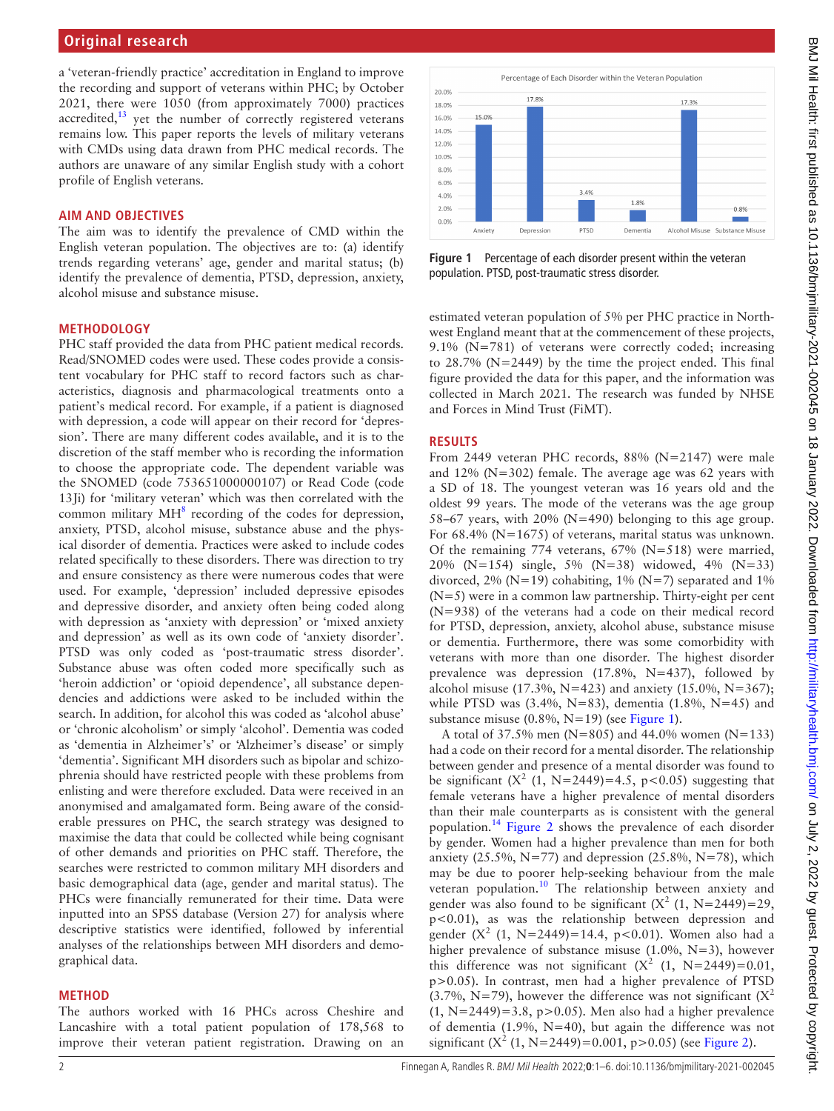### **Original research**

a 'veteran-friendly practice' accreditation in England to improve the recording and support of veterans within PHC; by October 2021, there were 1050 (from approximately 7000) practices accredited, $13$  yet the number of correctly registered veterans remains low. This paper reports the levels of military veterans with CMDs using data drawn from PHC medical records. The authors are unaware of any similar English study with a cohort profile of English veterans.

#### **AIM AND OBJECTIVES**

The aim was to identify the prevalence of CMD within the English veteran population. The objectives are to: (a) identify trends regarding veterans' age, gender and marital status; (b) identify the prevalence of dementia, PTSD, depression, anxiety, alcohol misuse and substance misuse.

#### **METHODOLOGY**

PHC staff provided the data from PHC patient medical records. Read/SNOMED codes were used. These codes provide a consistent vocabulary for PHC staff to record factors such as characteristics, diagnosis and pharmacological treatments onto a patient's medical record. For example, if a patient is diagnosed with depression, a code will appear on their record for 'depression'. There are many different codes available, and it is to the discretion of the staff member who is recording the information to choose the appropriate code. The dependent variable was the SNOMED (code 753651000000107) or Read Code (code 13Ji) for 'military veteran' which was then correlated with the common military  $MH^8$  $MH^8$  recording of the codes for depression, anxiety, PTSD, alcohol misuse, substance abuse and the physical disorder of dementia. Practices were asked to include codes related specifically to these disorders. There was direction to try and ensure consistency as there were numerous codes that were used. For example, 'depression' included depressive episodes and depressive disorder, and anxiety often being coded along with depression as 'anxiety with depression' or 'mixed anxiety and depression' as well as its own code of 'anxiety disorder'. PTSD was only coded as 'post-traumatic stress disorder'. Substance abuse was often coded more specifically such as 'heroin addiction' or 'opioid dependence', all substance dependencies and addictions were asked to be included within the search. In addition, for alcohol this was coded as 'alcohol abuse' or 'chronic alcoholism' or simply 'alcohol'. Dementia was coded as 'dementia in Alzheimer's' or 'Alzheimer's disease' or simply 'dementia'. Significant MH disorders such as bipolar and schizophrenia should have restricted people with these problems from enlisting and were therefore excluded. Data were received in an anonymised and amalgamated form. Being aware of the considerable pressures on PHC, the search strategy was designed to maximise the data that could be collected while being cognisant of other demands and priorities on PHC staff. Therefore, the searches were restricted to common military MH disorders and basic demographical data (age, gender and marital status). The PHCs were financially remunerated for their time. Data were inputted into an SPSS database (Version 27) for analysis where descriptive statistics were identified, followed by inferential analyses of the relationships between MH disorders and demographical data.

#### **METHOD**

The authors worked with 16 PHCs across Cheshire and Lancashire with a total patient population of 178,568 to improve their veteran patient registration. Drawing on an



<span id="page-1-0"></span>**Figure 1** Percentage of each disorder present within the veteran population. PTSD, post-traumatic stress disorder.

estimated veteran population of 5% per PHC practice in Northwest England meant that at the commencement of these projects, 9.1% (N=781) of veterans were correctly coded; increasing to 28.7% (N=2449) by the time the project ended. This final figure provided the data for this paper, and the information was collected in March 2021. The research was funded by NHSE and Forces in Mind Trust (FiMT).

#### **RESULTS**

From 2449 veteran PHC records, 88% (N=2147) were male and 12% (N=302) female. The average age was 62 years with a SD of 18. The youngest veteran was 16 years old and the oldest 99 years. The mode of the veterans was the age group 58–67 years, with 20% (N=490) belonging to this age group. For 68.4% (N=1675) of veterans, marital status was unknown. Of the remaining 774 veterans, 67% (N=518) were married, 20% (N=154) single, 5% (N=38) widowed, 4% (N=33) divorced, 2% ( $N=19$ ) cohabiting, 1% ( $N=7$ ) separated and 1% (N=5) were in a common law partnership. Thirty-eight per cent (N=938) of the veterans had a code on their medical record for PTSD, depression, anxiety, alcohol abuse, substance misuse or dementia. Furthermore, there was some comorbidity with veterans with more than one disorder. The highest disorder prevalence was depression (17.8%, N=437), followed by alcohol misuse (17.3%, N=423) and anxiety (15.0%, N=367); while PTSD was  $(3.4\%, N=83)$ , dementia  $(1.8\%, N=45)$  and substance misuse (0.8%, N=19) (see [Figure](#page-1-0) 1).

A total of 37.5% men ( $N=805$ ) and 44.0% women ( $N=133$ ) had a code on their record for a mental disorder. The relationship between gender and presence of a mental disorder was found to be significant  $(X^2 (1, N=2449)=4.5, p<0.05)$  suggesting that female veterans have a higher prevalence of mental disorders than their male counterparts as is consistent with the general population[.14](#page-4-12) [Figure](#page-2-0) 2 shows the prevalence of each disorder by gender. Women had a higher prevalence than men for both anxiety (25.5%,  $N=77$ ) and depression (25.8%,  $N=78$ ), which may be due to poorer help-seeking behaviour from the male veteran population.<sup>10</sup> The relationship between anxiety and gender was also found to be significant  $(X^2 (1, N=2449)=29$ , p<0.01), as was the relationship between depression and gender  $(X^2 (1, N=2449)=14.4, p<0.01)$ . Women also had a higher prevalence of substance misuse  $(1.0\%, N=3)$ , however this difference was not significant  $(X^2 (1, N=2449)=0.01,$ p>0.05). In contrast, men had a higher prevalence of PTSD  $(3.7\% \text{ N} = 79)$ , however the difference was not significant  $(X^2)$  $(1, N=2449)=3.8$ , p $>0.05$ ). Men also had a higher prevalence of dementia (1.9%, N=40), but again the difference was not significant  $(X^2 (1, N=2449)=0.001, p>0.05)$  (see [Figure](#page-2-0) 2).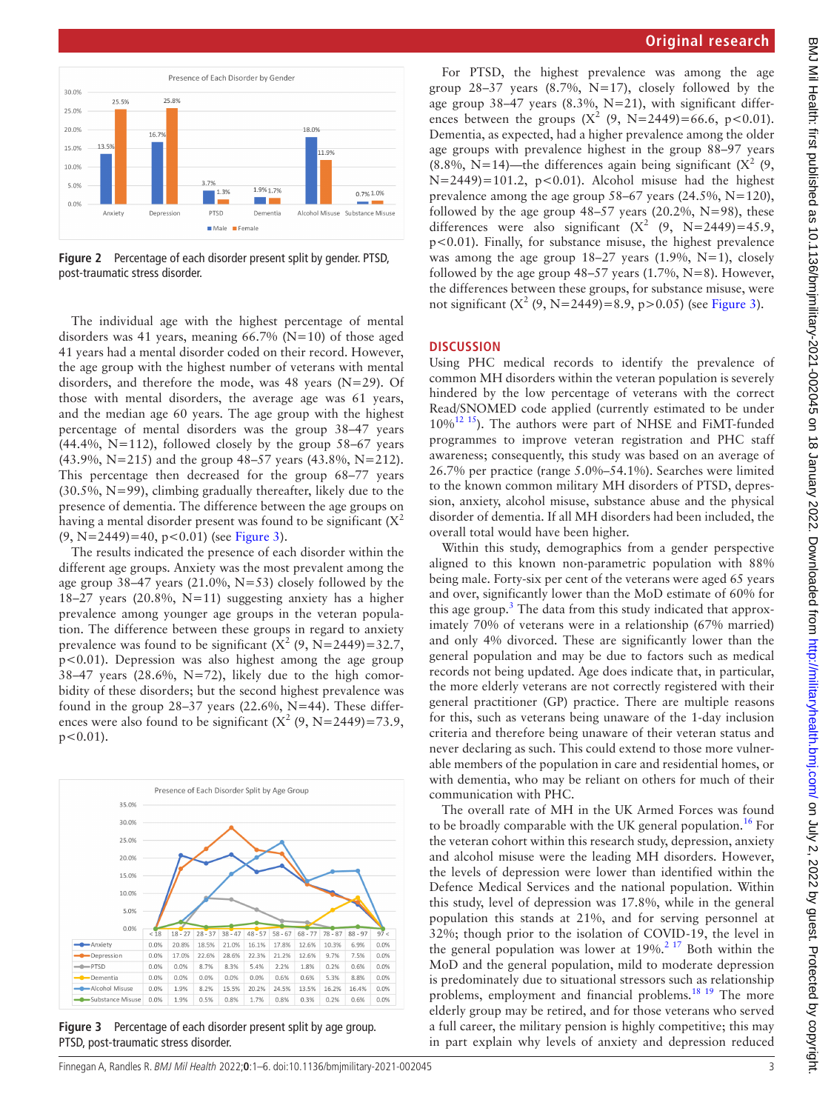

<span id="page-2-0"></span>**Figure 2** Percentage of each disorder present split by gender. PTSD, post-traumatic stress disorder.

The individual age with the highest percentage of mental disorders was 41 years, meaning  $66.7\%$  (N=10) of those aged 41 years had a mental disorder coded on their record. However, the age group with the highest number of veterans with mental disorders, and therefore the mode, was 48 years (N=29). Of those with mental disorders, the average age was 61 years, and the median age 60 years. The age group with the highest percentage of mental disorders was the group 38–47 years  $(44.4\%, N=112)$ , followed closely by the group 58–67 years (43.9%, N=215) and the group 48–57 years (43.8%, N=212). This percentage then decreased for the group 68–77 years (30.5%, N=99), climbing gradually thereafter, likely due to the presence of dementia. The difference between the age groups on having a mental disorder present was found to be significant  $(X^2)$  $(9, N=2449)=40, p<0.01$  (see [Figure](#page-2-1) 3).

The results indicated the presence of each disorder within the different age groups. Anxiety was the most prevalent among the age group 38–47 years (21.0%, N=53) closely followed by the 18–27 years (20.8%, N=11) suggesting anxiety has a higher prevalence among younger age groups in the veteran population. The difference between these groups in regard to anxiety prevalence was found to be significant  $(X^2 (9, N=2449)=32.7,$ p<0.01). Depression was also highest among the age group 38–47 years (28.6%, N=72), likely due to the high comorbidity of these disorders; but the second highest prevalence was found in the group  $28-37$  years (22.6%, N=44). These differences were also found to be significant  $(X^2 (9, N=2449)=73.9,$  $p < 0.01$ ).



<span id="page-2-1"></span>**Figure 3** Percentage of each disorder present split by age group. PTSD, post-traumatic stress disorder.

For PTSD, the highest prevalence was among the age group  $28-37$  years  $(8.7\%, N=17)$ , closely followed by the age group 38–47 years (8.3%, N=21), with significant differences between the groups  $(X^2 (9, N=2449)=66.6, p<0.01)$ . Dementia, as expected, had a higher prevalence among the older age groups with prevalence highest in the group 88–97 years (8.8%, N=14)—the differences again being significant ( $X^2$  (9,  $N=2449$ =101.2, p<0.01). Alcohol misuse had the highest prevalence among the age group 58–67 years (24.5%, N=120), followed by the age group  $48-57$  years (20.2%, N=98), these differences were also significant  $(X^2 \ (9, N=2449)=45.9,$ p<0.01). Finally, for substance misuse, the highest prevalence was among the age group  $18-27$  years  $(1.9\%, N=1)$ , closely followed by the age group  $48-57$  years (1.7%, N=8). However, the differences between these groups, for substance misuse, were not significant  $(X^2 (9, N=2449)=8.9, p>0.05)$  (see [Figure](#page-2-1) 3).

#### **DISCUSSION**

Using PHC medical records to identify the prevalence of common MH disorders within the veteran population is severely hindered by the low percentage of veterans with the correct Read/SNOMED code applied (currently estimated to be under 10%[12 15\)](#page-4-10). The authors were part of NHSE and FiMT-funded programmes to improve veteran registration and PHC staff awareness; consequently, this study was based on an average of 26.7% per practice (range 5.0%–54.1%). Searches were limited to the known common military MH disorders of PTSD, depression, anxiety, alcohol misuse, substance abuse and the physical disorder of dementia. If all MH disorders had been included, the overall total would have been higher.

Within this study, demographics from a gender perspective aligned to this known non-parametric population with 88% being male. Forty-six per cent of the veterans were aged 65 years and over, significantly lower than the MoD estimate of 60% for this age group.<sup>[3](#page-4-2)</sup> The data from this study indicated that approximately 70% of veterans were in a relationship (67% married) and only 4% divorced. These are significantly lower than the general population and may be due to factors such as medical records not being updated. Age does indicate that, in particular, the more elderly veterans are not correctly registered with their general practitioner (GP) practice. There are multiple reasons for this, such as veterans being unaware of the 1-day inclusion criteria and therefore being unaware of their veteran status and never declaring as such. This could extend to those more vulnerable members of the population in care and residential homes, or with dementia, who may be reliant on others for much of their communication with PHC.

The overall rate of MH in the UK Armed Forces was found to be broadly comparable with the UK general population.<sup>16</sup> For the veteran cohort within this research study, depression, anxiety and alcohol misuse were the leading MH disorders. However, the levels of depression were lower than identified within the Defence Medical Services and the national population. Within this study, level of depression was 17.8%, while in the general population this stands at 21%, and for serving personnel at 32%; though prior to the isolation of COVID-19, the level in the general population was lower at  $19\%$ .<sup>[2 17](#page-4-1)</sup> Both within the MoD and the general population, mild to moderate depression is predominately due to situational stressors such as relationship problems, employment and financial problems.<sup>18</sup> <sup>19</sup> The more elderly group may be retired, and for those veterans who served a full career, the military pension is highly competitive; this may in part explain why levels of anxiety and depression reduced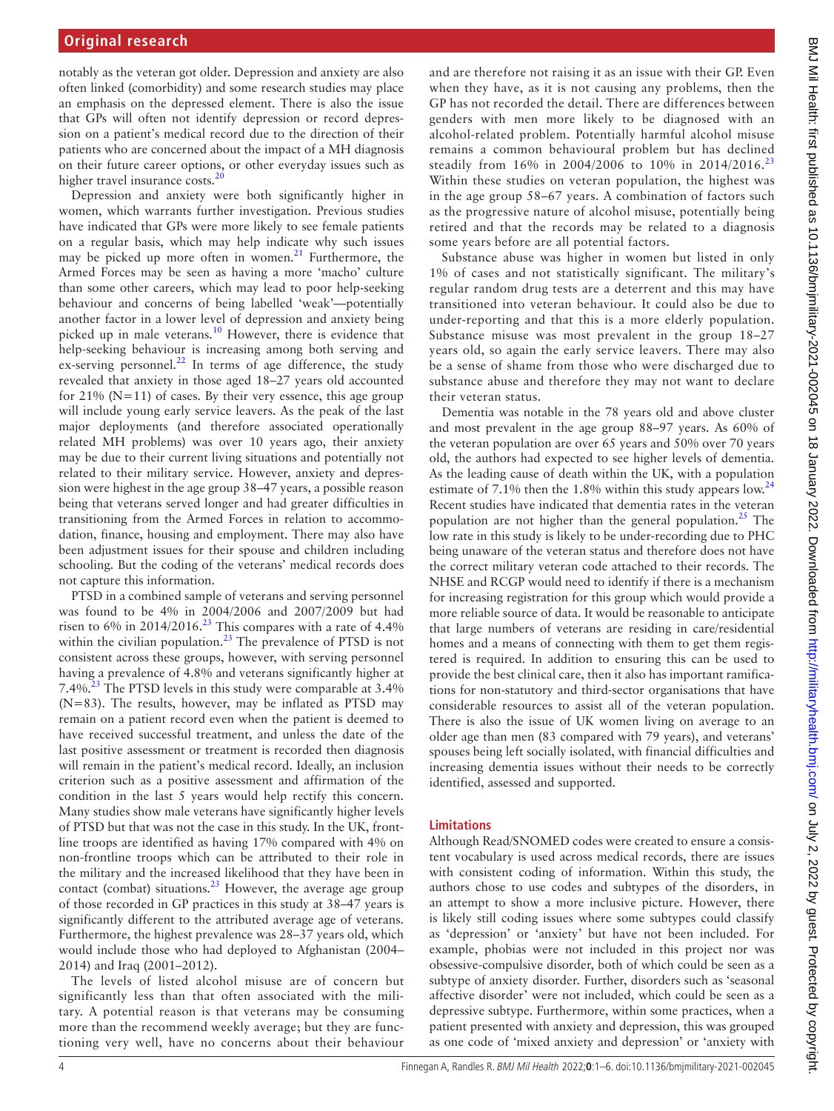notably as the veteran got older. Depression and anxiety are also often linked (comorbidity) and some research studies may place an emphasis on the depressed element. There is also the issue that GPs will often not identify depression or record depression on a patient's medical record due to the direction of their patients who are concerned about the impact of a MH diagnosis on their future career options, or other everyday issues such as higher travel insurance costs.<sup>[20](#page-4-15)</sup>

Depression and anxiety were both significantly higher in women, which warrants further investigation. Previous studies have indicated that GPs were more likely to see female patients on a regular basis, which may help indicate why such issues may be picked up more often in women.<sup>21</sup> Furthermore, the Armed Forces may be seen as having a more 'macho' culture than some other careers, which may lead to poor help-seeking behaviour and concerns of being labelled 'weak'—potentially another factor in a lower level of depression and anxiety being picked up in male veterans.<sup>10</sup> However, there is evidence that help-seeking behaviour is increasing among both serving and ex-serving personnel. $^{22}$  In terms of age difference, the study revealed that anxiety in those aged 18–27 years old accounted for  $21\%$  (N=11) of cases. By their very essence, this age group will include young early service leavers. As the peak of the last major deployments (and therefore associated operationally related MH problems) was over 10 years ago, their anxiety may be due to their current living situations and potentially not related to their military service. However, anxiety and depression were highest in the age group 38–47 years, a possible reason being that veterans served longer and had greater difficulties in transitioning from the Armed Forces in relation to accommodation, finance, housing and employment. There may also have been adjustment issues for their spouse and children including schooling. But the coding of the veterans' medical records does not capture this information.

PTSD in a combined sample of veterans and serving personnel was found to be 4% in 2004/2006 and 2007/2009 but had risen to 6% in  $2014/2016$ <sup>[23](#page-5-0)</sup> This compares with a rate of 4.4% within the civilian population. $^{23}$  $^{23}$  $^{23}$  The prevalence of PTSD is not consistent across these groups, however, with serving personnel having a prevalence of 4.8% and veterans significantly higher at 7.4%<sup>23</sup> The PTSD levels in this study were comparable at 3.4% (N=83). The results, however, may be inflated as PTSD may remain on a patient record even when the patient is deemed to have received successful treatment, and unless the date of the last positive assessment or treatment is recorded then diagnosis will remain in the patient's medical record. Ideally, an inclusion criterion such as a positive assessment and affirmation of the condition in the last 5 years would help rectify this concern. Many studies show male veterans have significantly higher levels of PTSD but that was not the case in this study. In the UK, frontline troops are identified as having 17% compared with 4% on non-frontline troops which can be attributed to their role in the military and the increased likelihood that they have been in contact (combat) situations. $23$  However, the average age group of those recorded in GP practices in this study at 38–47 years is significantly different to the attributed average age of veterans. Furthermore, the highest prevalence was 28–37 years old, which would include those who had deployed to Afghanistan (2004– 2014) and Iraq (2001–2012).

The levels of listed alcohol misuse are of concern but significantly less than that often associated with the military. A potential reason is that veterans may be consuming more than the recommend weekly average; but they are functioning very well, have no concerns about their behaviour

and are therefore not raising it as an issue with their GP. Even when they have, as it is not causing any problems, then the GP has not recorded the detail. There are differences between genders with men more likely to be diagnosed with an alcohol-related problem. Potentially harmful alcohol misuse remains a common behavioural problem but has declined steadily from 16% in 2004/2006 to 10% in 2014/2016.<sup>[23](#page-5-0)</sup> Within these studies on veteran population, the highest was in the age group 58–67 years. A combination of factors such as the progressive nature of alcohol misuse, potentially being retired and that the records may be related to a diagnosis some years before are all potential factors.

Substance abuse was higher in women but listed in only 1% of cases and not statistically significant. The military's regular random drug tests are a deterrent and this may have transitioned into veteran behaviour. It could also be due to under-reporting and that this is a more elderly population. Substance misuse was most prevalent in the group 18–27 years old, so again the early service leavers. There may also be a sense of shame from those who were discharged due to substance abuse and therefore they may not want to declare their veteran status.

Dementia was notable in the 78 years old and above cluster and most prevalent in the age group 88–97 years. As 60% of the veteran population are over 65 years and 50% over 70 years old, the authors had expected to see higher levels of dementia. As the leading cause of death within the UK, with a population estimate of 7.1% then the 1.8% within this study appears low. $^{24}$  $^{24}$  $^{24}$ Recent studies have indicated that dementia rates in the veteran population are not higher than the general population.<sup>[25](#page-5-2)</sup> The low rate in this study is likely to be under-recording due to PHC being unaware of the veteran status and therefore does not have the correct military veteran code attached to their records. The NHSE and RCGP would need to identify if there is a mechanism for increasing registration for this group which would provide a more reliable source of data. It would be reasonable to anticipate that large numbers of veterans are residing in care/residential homes and a means of connecting with them to get them registered is required. In addition to ensuring this can be used to provide the best clinical care, then it also has important ramifications for non-statutory and third-sector organisations that have considerable resources to assist all of the veteran population. There is also the issue of UK women living on average to an older age than men (83 compared with 79 years), and veterans' spouses being left socially isolated, with financial difficulties and increasing dementia issues without their needs to be correctly identified, assessed and supported.

#### **Limitations**

Although Read/SNOMED codes were created to ensure a consistent vocabulary is used across medical records, there are issues with consistent coding of information. Within this study, the authors chose to use codes and subtypes of the disorders, in an attempt to show a more inclusive picture. However, there is likely still coding issues where some subtypes could classify as 'depression' or 'anxiety' but have not been included. For example, phobias were not included in this project nor was obsessive-compulsive disorder, both of which could be seen as a subtype of anxiety disorder. Further, disorders such as 'seasonal affective disorder' were not included, which could be seen as a depressive subtype. Furthermore, within some practices, when a patient presented with anxiety and depression, this was grouped as one code of 'mixed anxiety and depression' or 'anxiety with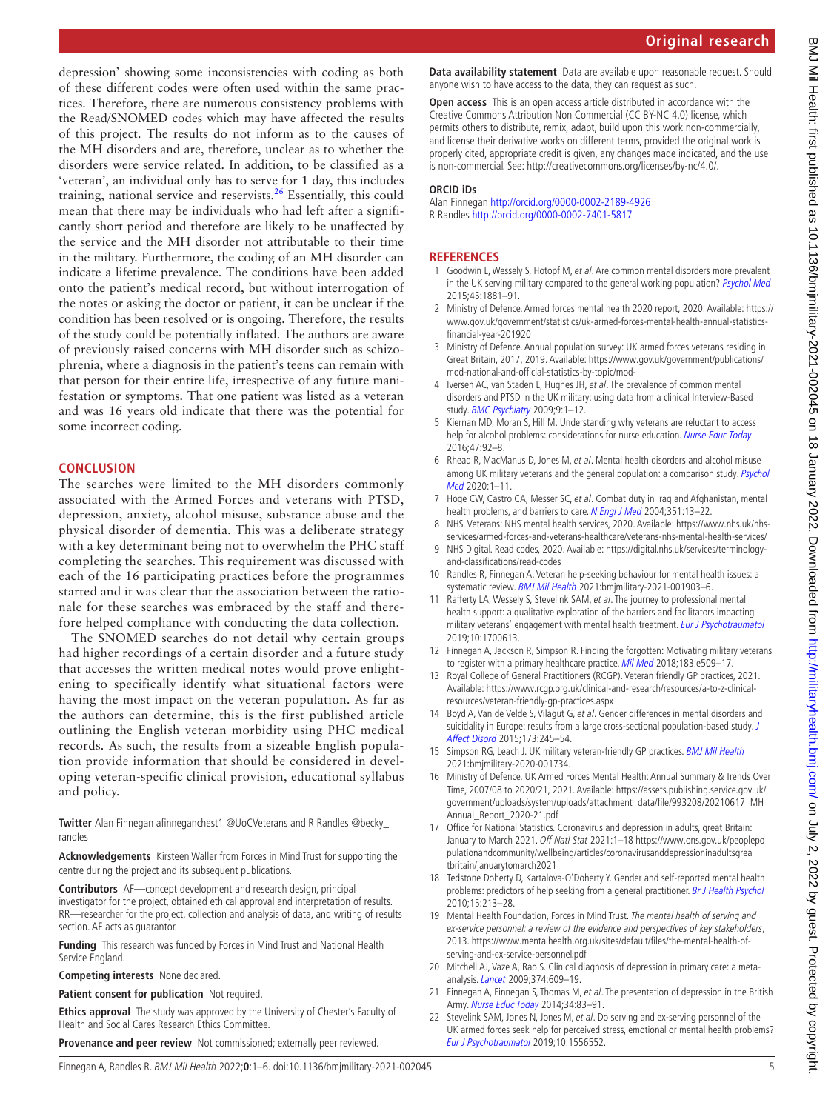depression' showing some inconsistencies with coding as both of these different codes were often used within the same practices. Therefore, there are numerous consistency problems with the Read/SNOMED codes which may have affected the results of this project. The results do not inform as to the causes of the MH disorders and are, therefore, unclear as to whether the disorders were service related. In addition, to be classified as a 'veteran', an individual only has to serve for 1 day, this includes training, national service and reservists. $^{26}$  Essentially, this could mean that there may be individuals who had left after a significantly short period and therefore are likely to be unaffected by the service and the MH disorder not attributable to their time in the military. Furthermore, the coding of an MH disorder can indicate a lifetime prevalence. The conditions have been added onto the patient's medical record, but without interrogation of the notes or asking the doctor or patient, it can be unclear if the condition has been resolved or is ongoing. Therefore, the results of the study could be potentially inflated. The authors are aware of previously raised concerns with MH disorder such as schizophrenia, where a diagnosis in the patient's teens can remain with that person for their entire life, irrespective of any future manifestation or symptoms. That one patient was listed as a veteran and was 16 years old indicate that there was the potential for some incorrect coding.

#### **CONCLUSION**

The searches were limited to the MH disorders commonly associated with the Armed Forces and veterans with PTSD, depression, anxiety, alcohol misuse, substance abuse and the physical disorder of dementia. This was a deliberate strategy with a key determinant being not to overwhelm the PHC staff completing the searches. This requirement was discussed with each of the 16 participating practices before the programmes started and it was clear that the association between the rationale for these searches was embraced by the staff and therefore helped compliance with conducting the data collection.

The SNOMED searches do not detail why certain groups had higher recordings of a certain disorder and a future study that accesses the written medical notes would prove enlightening to specifically identify what situational factors were having the most impact on the veteran population. As far as the authors can determine, this is the first published article outlining the English veteran morbidity using PHC medical records. As such, the results from a sizeable English population provide information that should be considered in developing veteran-specific clinical provision, educational syllabus and policy.

**Twitter** Alan Finnegan [afinneganchest1 @UoCVeterans](afinneganchest1 https://twitter.com/UoCVeterans) and R Randles @becky [randles](https://twitter.com/becky_randles)

**Acknowledgements** Kirsteen Waller from Forces in Mind Trust for supporting the centre during the project and its subsequent publications.

**Contributors** AF—concept development and research design, principal investigator for the project, obtained ethical approval and interpretation of results. RR—researcher for the project, collection and analysis of data, and writing of results section. AF acts as guarantor.

**Funding** This research was funded by Forces in Mind Trust and National Health Service England.

**Competing interests** None declared.

**Patient consent for publication** Not required.

**Ethics approval** The study was approved by the University of Chester's Faculty of Health and Social Cares Research Ethics Committee.

**Provenance and peer review** Not commissioned; externally peer reviewed.

**Original research**

**Data availability statement** Data are available upon reasonable request. Should anyone wish to have access to the data, they can request as such.

**Open access** This is an open access article distributed in accordance with the Creative Commons Attribution Non Commercial (CC BY-NC 4.0) license, which permits others to distribute, remix, adapt, build upon this work non-commercially, and license their derivative works on different terms, provided the original work is properly cited, appropriate credit is given, any changes made indicated, and the use is non-commercial. See: [http://creativecommons.org/licenses/by-nc/4.0/.](http://creativecommons.org/licenses/by-nc/4.0/)

#### **ORCID iDs**

Alan Finnegan <http://orcid.org/0000-0002-2189-4926> R Randles<http://orcid.org/0000-0002-7401-5817>

#### **REFERENCES**

- <span id="page-4-0"></span>1 Goodwin L, Wessely S, Hotopf M, et al. Are common mental disorders more prevalent in the UK serving military compared to the general working population? [Psychol Med](http://dx.doi.org/10.1017/S0033291714002980) 2015;45:1881–91.
- <span id="page-4-1"></span>2 Ministry of Defence. Armed forces mental health 2020 report, 2020. Available: [https://](https://www.gov.uk/government/statistics/uk-armed-forces-mental-health-annual-statistics-financial-year-201920) [www.gov.uk/government/statistics/uk-armed-forces-mental-health-annual-statistics](https://www.gov.uk/government/statistics/uk-armed-forces-mental-health-annual-statistics-financial-year-201920)[financial-year-201920](https://www.gov.uk/government/statistics/uk-armed-forces-mental-health-annual-statistics-financial-year-201920)
- <span id="page-4-2"></span>3 Ministry of Defence. Annual population survey: UK armed forces veterans residing in Great Britain, 2017, 2019. Available: [https://www.gov.uk/government/publications/](https://www.gov.uk/government/publications/mod-national-and-official-statistics-by-topic/mod-) [mod-national-and-official-statistics-by-topic/mod-](https://www.gov.uk/government/publications/mod-national-and-official-statistics-by-topic/mod-)
- <span id="page-4-3"></span>4 Iversen AC, van Staden L, Hughes JH, et al. The prevalence of common mental disorders and PTSD in the UK military: using data from a clinical Interview-Based study. [BMC Psychiatry](http://dx.doi.org/10.1186/1471-244X-9-68) 2009;9:1-12.
- 5 Kiernan MD, Moran S, Hill M. Understanding why veterans are reluctant to access help for alcohol problems: considerations for nurse education. [Nurse Educ Today](http://dx.doi.org/10.1016/j.nedt.2016.02.024) 2016;47:92–8.
- <span id="page-4-4"></span>6 Rhead R, MacManus D, Jones M, et al. Mental health disorders and alcohol misuse among UK military veterans and the general population: a comparison study. Psychol [Med](http://dx.doi.org/10.1017/S0033291720001944) 2020:1-11
- <span id="page-4-5"></span>7 Hoge CW, Castro CA, Messer SC, et al. Combat duty in Iraq and Afghanistan, mental health problems, and barriers to care. [N Engl J Med](http://dx.doi.org/10.1056/NEJMoa040603) 2004;351:13-22.
- <span id="page-4-6"></span>8 NHS. Veterans: NHS mental health services, 2020. Available: [https://www.nhs.uk/nhs](https://www.nhs.uk/nhs-services/armed-forces-and-veterans-healthcare/veterans-nhs-mental-health-services/)[services/armed-forces-and-veterans-healthcare/veterans-nhs-mental-health-services/](https://www.nhs.uk/nhs-services/armed-forces-and-veterans-healthcare/veterans-nhs-mental-health-services/)
- <span id="page-4-7"></span>9 NHS Digital. Read codes, 2020. Available: [https://digital.nhs.uk/services/terminology](https://digital.nhs.uk/services/terminology-and-classifications/read-codes)[and-classifications/read-codes](https://digital.nhs.uk/services/terminology-and-classifications/read-codes)
- <span id="page-4-8"></span>10 Randles R, Finnegan A. Veteran help-seeking behaviour for mental health issues: a systematic review. [BMJ Mil Health](http://dx.doi.org/10.1136/bmjmilitary-2021-001903) 2021:bmjmilitary-2021-001903-6.
- <span id="page-4-9"></span>11 Rafferty LA, Wessely S, Stevelink SAM, et al. The journey to professional mental health support: a qualitative exploration of the barriers and facilitators impacting military veterans' engagement with mental health treatment. [Eur J Psychotraumatol](http://dx.doi.org/10.1080/20008198.2019.1700613) 2019;10:1700613.
- <span id="page-4-10"></span>12 Finnegan A, Jackson R, Simpson R. Finding the forgotten: Motivating military veterans to register with a primary healthcare practice. [Mil Med](http://dx.doi.org/10.1093/milmed/usy086) 2018;183:e509-17.
- <span id="page-4-11"></span>13 Royal College of General Practitioners (RCGP). Veteran friendly GP practices, 2021. Available: [https://www.rcgp.org.uk/clinical-and-research/resources/a-to-z-clinical](https://www.rcgp.org.uk/clinical-and-research/resources/a-to-z-clinical-resources/veteran-friendly-gp-practices.aspx)[resources/veteran-friendly-gp-practices.aspx](https://www.rcgp.org.uk/clinical-and-research/resources/a-to-z-clinical-resources/veteran-friendly-gp-practices.aspx)
- <span id="page-4-12"></span>14 Boyd A, Van de Velde S, Vilagut G, et al. Gender differences in mental disorders and suicidality in Europe: results from a large cross-sectional population-based study. J [Affect Disord](http://dx.doi.org/10.1016/j.jad.2014.11.002) 2015;173:245–54.
- 15 Simpson RG, Leach J. UK military veteran-friendly GP practices. [BMJ Mil Health](http://dx.doi.org/10.1136/bmjmilitary-2020-001734) 2021:bmjmilitary-2020-001734.
- <span id="page-4-13"></span>16 Ministry of Defence. UK Armed Forces Mental Health: Annual Summary & Trends Over Time, 2007/08 to 2020/21, 2021. Available: [https://assets.publishing.service.gov.uk/](https://assets.publishing.service.gov.uk/government/uploads/system/uploads/attachment_data/file/993208/20210617_MH_Annual_Report_2020-21.pdf) [government/uploads/system/uploads/attachment\\_data/file/993208/20210617\\_MH\\_](https://assets.publishing.service.gov.uk/government/uploads/system/uploads/attachment_data/file/993208/20210617_MH_Annual_Report_2020-21.pdf) [Annual\\_Report\\_2020-21.pdf](https://assets.publishing.service.gov.uk/government/uploads/system/uploads/attachment_data/file/993208/20210617_MH_Annual_Report_2020-21.pdf)
- 17 Office for National Statistics. Coronavirus and depression in adults, great Britain: January to March 2021. Off Natl Stat 2021:1–18 [https://www.ons.gov.uk/peoplepo](https://www.ons.gov.uk/peoplepopulationandcommunity/wellbeing/articles/coronavirusanddepressioninadultsgreatbritain/januarytomarch2021) [pulationandcommunity/wellbeing/articles/coronavirusanddepressioninadultsgrea](https://www.ons.gov.uk/peoplepopulationandcommunity/wellbeing/articles/coronavirusanddepressioninadultsgreatbritain/januarytomarch2021) [tbritain/januarytomarch2021](https://www.ons.gov.uk/peoplepopulationandcommunity/wellbeing/articles/coronavirusanddepressioninadultsgreatbritain/januarytomarch2021)
- <span id="page-4-14"></span>18 Tedstone Doherty D, Kartalova-O'Doherty Y. Gender and self-reported mental health problems: predictors of help seeking from a general practitioner. [Br J Health Psychol](http://dx.doi.org/10.1348/135910709X457423) 2010;15:213–28.
- 19 Mental Health Foundation, Forces in Mind Trust. The mental health of serving and ex-service personnel: a review of the evidence and perspectives of key stakeholders, 2013. [https://www.mentalhealth.org.uk/sites/default/files/the-mental-health-of](https://www.mentalhealth.org.uk/sites/default/files/the-mental-health-of-serving-and-ex-service-personnel.pdf)[serving-and-ex-service-personnel.pdf](https://www.mentalhealth.org.uk/sites/default/files/the-mental-health-of-serving-and-ex-service-personnel.pdf)
- <span id="page-4-15"></span>20 Mitchell AJ, Vaze A, Rao S. Clinical diagnosis of depression in primary care: a metaanalysis. *[Lancet](http://dx.doi.org/10.1016/S0140-6736(09)60879-5)* 2009;374:609-19.
- <span id="page-4-16"></span>21 Finnegan A, Finnegan S, Thomas M, et al. The presentation of depression in the British Army. [Nurse Educ Today](http://dx.doi.org/10.1016/j.nedt.2013.02.020) 2014;34:83–91.
- <span id="page-4-17"></span>22 Stevelink SAM, Jones N, Jones M, et al. Do serving and ex-serving personnel of the UK armed forces seek help for perceived stress, emotional or mental health problems? [Eur J Psychotraumatol](http://dx.doi.org/10.1080/20008198.2018.1556552) 2019;10:1556552.